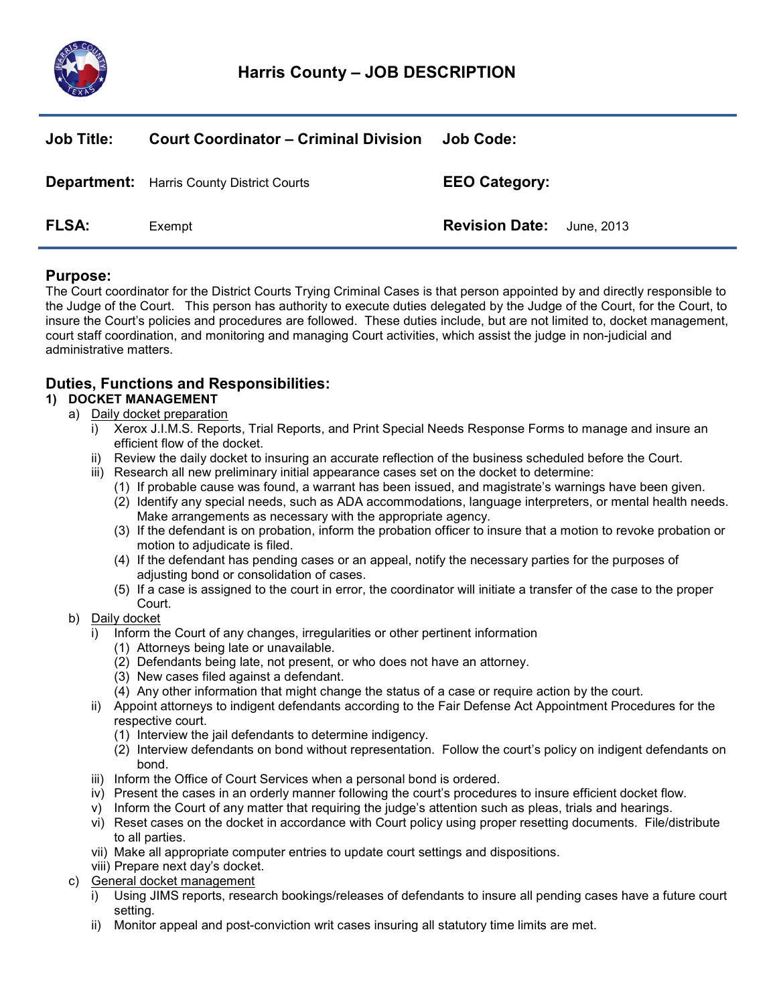

| <b>Job Title:</b> | <b>Court Coordinator – Criminal Division</b>     | Job Code:             |            |
|-------------------|--------------------------------------------------|-----------------------|------------|
|                   | <b>Department:</b> Harris County District Courts | <b>EEO Category:</b>  |            |
| <b>FLSA:</b>      | Exempt                                           | <b>Revision Date:</b> | June, 2013 |

## Purpose:

The Court coordinator for the District Courts Trying Criminal Cases is that person appointed by and directly responsible to the Judge of the Court. This person has authority to execute duties delegated by the Judge of the Court, for the Court, to insure the Court's policies and procedures are followed. These duties include, but are not limited to, docket management, court staff coordination, and monitoring and managing Court activities, which assist the judge in non-judicial and administrative matters.

# Duties, Functions and Responsibilities:

## 1) DOCKET MANAGEMENT

### a) Daily docket preparation

- i) Xerox J.I.M.S. Reports, Trial Reports, and Print Special Needs Response Forms to manage and insure an efficient flow of the docket.
- ii) Review the daily docket to insuring an accurate reflection of the business scheduled before the Court.
- iii) Research all new preliminary initial appearance cases set on the docket to determine:
	- (1) If probable cause was found, a warrant has been issued, and magistrate's warnings have been given.
	- (2) Identify any special needs, such as ADA accommodations, language interpreters, or mental health needs. Make arrangements as necessary with the appropriate agency.
	- (3) If the defendant is on probation, inform the probation officer to insure that a motion to revoke probation or motion to adjudicate is filed.
	- (4) If the defendant has pending cases or an appeal, notify the necessary parties for the purposes of adjusting bond or consolidation of cases.
	- (5) If a case is assigned to the court in error, the coordinator will initiate a transfer of the case to the proper Court.
- b) Daily docket
	- i) Inform the Court of any changes, irregularities or other pertinent information
		- (1) Attorneys being late or unavailable.
		- (2) Defendants being late, not present, or who does not have an attorney.
		- (3) New cases filed against a defendant.
		- (4) Any other information that might change the status of a case or require action by the court.
	- ii) Appoint attorneys to indigent defendants according to the Fair Defense Act Appointment Procedures for the respective court.
		- (1) Interview the jail defendants to determine indigency.
		- (2) Interview defendants on bond without representation. Follow the court's policy on indigent defendants on bond.
	- iii) Inform the Office of Court Services when a personal bond is ordered.
	- iv) Present the cases in an orderly manner following the court's procedures to insure efficient docket flow.
	- v) Inform the Court of any matter that requiring the judge's attention such as pleas, trials and hearings.
	- vi) Reset cases on the docket in accordance with Court policy using proper resetting documents. File/distribute to all parties.
	- vii) Make all appropriate computer entries to update court settings and dispositions.
	- viii) Prepare next day's docket.
- c) General docket management
	- i) Using JIMS reports, research bookings/releases of defendants to insure all pending cases have a future court setting.
	- ii) Monitor appeal and post-conviction writ cases insuring all statutory time limits are met.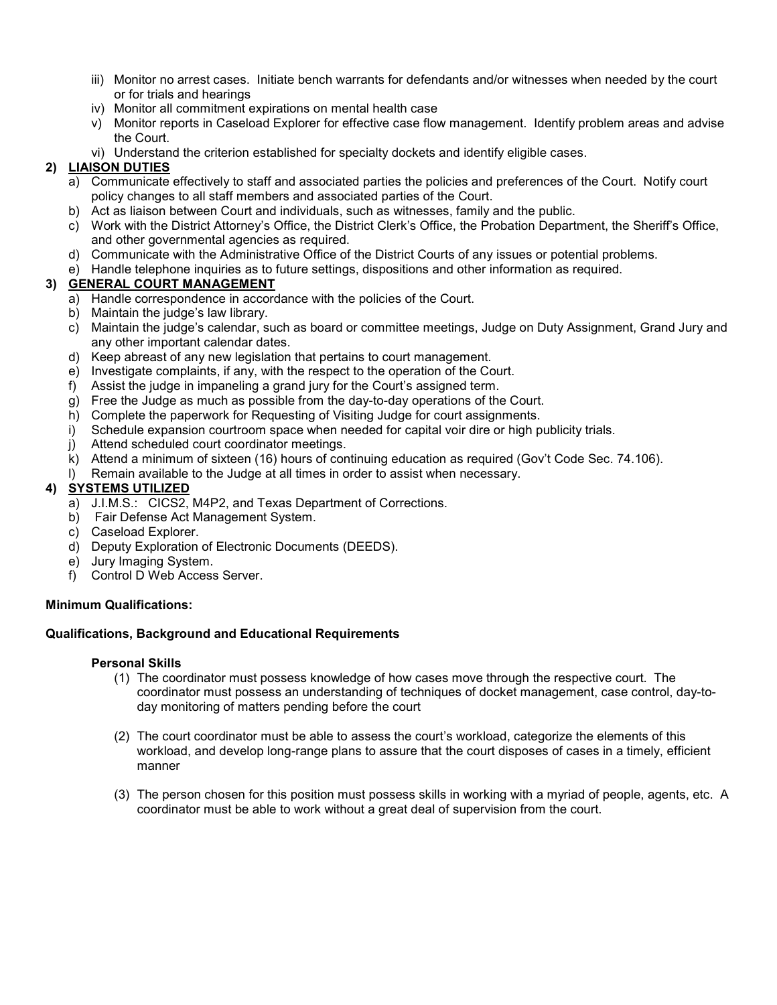- iii) Monitor no arrest cases. Initiate bench warrants for defendants and/or witnesses when needed by the court or for trials and hearings
- iv) Monitor all commitment expirations on mental health case
- v) Monitor reports in Caseload Explorer for effective case flow management. Identify problem areas and advise the Court.
- vi) Understand the criterion established for specialty dockets and identify eligible cases.

## 2) LIAISON DUTIES

- a) Communicate effectively to staff and associated parties the policies and preferences of the Court. Notify court policy changes to all staff members and associated parties of the Court.
- b) Act as liaison between Court and individuals, such as witnesses, family and the public.
- c) Work with the District Attorney's Office, the District Clerk's Office, the Probation Department, the Sheriff's Office, and other governmental agencies as required.
- d) Communicate with the Administrative Office of the District Courts of any issues or potential problems.
- e) Handle telephone inquiries as to future settings, dispositions and other information as required.

### 3) GENERAL COURT MANAGEMENT

- a) Handle correspondence in accordance with the policies of the Court.
- b) Maintain the judge's law library.
- c) Maintain the judge's calendar, such as board or committee meetings, Judge on Duty Assignment, Grand Jury and any other important calendar dates.
- d) Keep abreast of any new legislation that pertains to court management.
- e) Investigate complaints, if any, with the respect to the operation of the Court.
- f) Assist the judge in impaneling a grand jury for the Court's assigned term.
- g) Free the Judge as much as possible from the day-to-day operations of the Court.
- h) Complete the paperwork for Requesting of Visiting Judge for court assignments.
- i) Schedule expansion courtroom space when needed for capital voir dire or high publicity trials.
- j) Attend scheduled court coordinator meetings.
- k) Attend a minimum of sixteen (16) hours of continuing education as required (Gov't Code Sec. 74.106).
- l) Remain available to the Judge at all times in order to assist when necessary.

### 4) SYSTEMS UTILIZED

- a) J.I.M.S.: CICS2, M4P2, and Texas Department of Corrections.
- b) Fair Defense Act Management System.
- c) Caseload Explorer.
- d) Deputy Exploration of Electronic Documents (DEEDS).
- e) Jury Imaging System.
- f) Control D Web Access Server.

### Minimum Qualifications:

### Qualifications, Background and Educational Requirements

#### Personal Skills

- (1) The coordinator must possess knowledge of how cases move through the respective court. The coordinator must possess an understanding of techniques of docket management, case control, day-today monitoring of matters pending before the court
- (2) The court coordinator must be able to assess the court's workload, categorize the elements of this workload, and develop long-range plans to assure that the court disposes of cases in a timely, efficient manner
- (3) The person chosen for this position must possess skills in working with a myriad of people, agents, etc. A coordinator must be able to work without a great deal of supervision from the court.